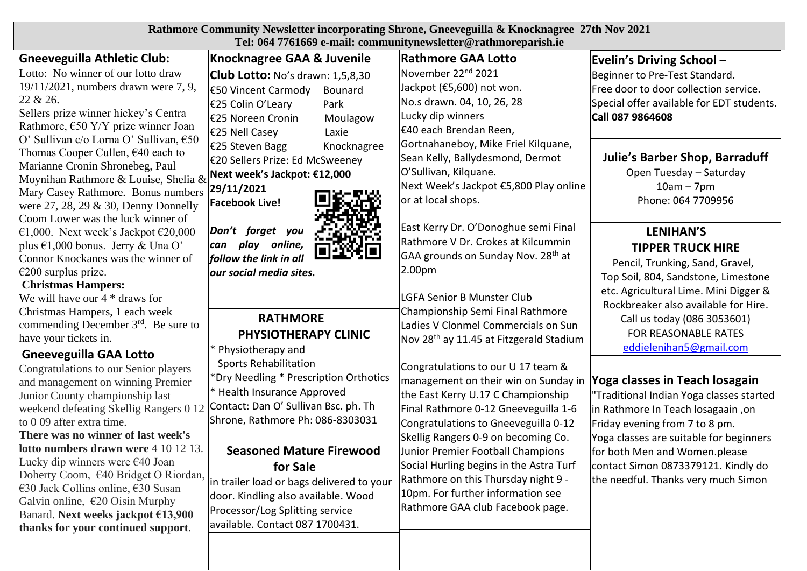| Rathmore Community Newsletter incorporating Shrone, Gneeveguilla & Knocknagree 27th Nov 2021<br>Tel: 064 7761669 e-mail: communitynewsletter@rathmoreparish.ie                                                                                                                                                                                                                                                                                                                                                                                         |                                                                                                                                                                                                                                                                                                                                                                                                                 |                                                                                                                                                                                                                                                                                                                                                                                                                                         |                                                                                                                                                                                                                                                                                                                                         |  |
|--------------------------------------------------------------------------------------------------------------------------------------------------------------------------------------------------------------------------------------------------------------------------------------------------------------------------------------------------------------------------------------------------------------------------------------------------------------------------------------------------------------------------------------------------------|-----------------------------------------------------------------------------------------------------------------------------------------------------------------------------------------------------------------------------------------------------------------------------------------------------------------------------------------------------------------------------------------------------------------|-----------------------------------------------------------------------------------------------------------------------------------------------------------------------------------------------------------------------------------------------------------------------------------------------------------------------------------------------------------------------------------------------------------------------------------------|-----------------------------------------------------------------------------------------------------------------------------------------------------------------------------------------------------------------------------------------------------------------------------------------------------------------------------------------|--|
| <b>Gneeveguilla Athletic Club:</b>                                                                                                                                                                                                                                                                                                                                                                                                                                                                                                                     | <b>Knocknagree GAA &amp; Juvenile</b>                                                                                                                                                                                                                                                                                                                                                                           | <b>Rathmore GAA Lotto</b>                                                                                                                                                                                                                                                                                                                                                                                                               | <b>Evelin's Driving School-</b>                                                                                                                                                                                                                                                                                                         |  |
| Lotto: No winner of our lotto draw<br>19/11/2021, numbers drawn were 7, 9,<br>22 & 26.<br>Sellers prize winner hickey's Centra<br>Rathmore, $\epsilon$ 50 Y/Y prize winner Joan<br>O' Sullivan c/o Lorna O' Sullivan, €50<br>Thomas Cooper Cullen, €40 each to<br>Marianne Cronin Shronebeg, Paul<br>Moynihan Rathmore & Louise, Shelia &<br>Mary Casey Rathmore. Bonus numbers<br>were $27, 28, 29 \& 30$ , Denny Donnelly                                                                                                                            | Club Lotto: No's drawn: 1,5,8,30<br>€50 Vincent Carmody<br>Bounard<br>€25 Colin O'Leary<br>Park<br>€25 Noreen Cronin<br>Moulagow<br>€25 Nell Casey<br>Laxie                                                                                                                                                                                                                                                     | November 22 <sup>nd</sup> 2021<br>Jackpot (€5,600) not won.<br>No.s drawn. 04, 10, 26, 28<br>Lucky dip winners<br>€40 each Brendan Reen,<br>Gortnahaneboy, Mike Friel Kilquane,<br>Sean Kelly, Ballydesmond, Dermot<br>O'Sullivan, Kilquane.<br>Next Week's Jackpot €5,800 Play online<br>or at local shops.                                                                                                                            | Beginner to Pre-Test Standard.<br>Free door to door collection service.<br>Special offer available for EDT students.<br>Call 087 9864608                                                                                                                                                                                                |  |
|                                                                                                                                                                                                                                                                                                                                                                                                                                                                                                                                                        | €25 Steven Bagg<br>Knocknagree<br>€20 Sellers Prize: Ed McSweeney<br>Next week's Jackpot: €12,000<br>29/11/2021<br><b>Facebook Live!</b>                                                                                                                                                                                                                                                                        |                                                                                                                                                                                                                                                                                                                                                                                                                                         | <b>Julie's Barber Shop, Barraduff</b><br>Open Tuesday - Saturday<br>$10am - 7pm$<br>Phone: 064 7709956                                                                                                                                                                                                                                  |  |
| Coom Lower was the luck winner of<br>€1,000. Next week's Jackpot €20,000<br>plus $\epsilon$ 1,000 bonus. Jerry & Una O'<br>Connor Knockanes was the winner of<br>$€200$ surplus prize.<br><b>Christmas Hampers:</b><br>We will have our $4 *$ draws for<br>Christmas Hampers, 1 each week<br>commending December $3rd$ . Be sure to<br>have your tickets in.                                                                                                                                                                                           | Don't forget you<br>play online,<br>can<br>follow the link in all<br>our social media sites.<br><b>RATHMORE</b><br>PHYSIOTHERAPY CLINIC                                                                                                                                                                                                                                                                         | East Kerry Dr. O'Donoghue semi Final<br>Rathmore V Dr. Crokes at Kilcummin<br>GAA grounds on Sunday Nov. 28 <sup>th</sup> at<br>2.00pm<br><b>LGFA Senior B Munster Club</b><br>Championship Semi Final Rathmore<br>Ladies V Clonmel Commercials on Sun<br>Nov 28 <sup>th</sup> ay 11.45 at Fitzgerald Stadium                                                                                                                           | <b>LENIHAN'S</b><br><b>TIPPER TRUCK HIRE</b><br>Pencil, Trunking, Sand, Gravel,<br>Top Soil, 804, Sandstone, Limestone<br>etc. Agricultural Lime. Mini Digger &<br>Rockbreaker also available for Hire.<br>Call us today (086 3053601)<br>FOR REASONABLE RATES                                                                          |  |
| <b>Gneeveguilla GAA Lotto</b><br>Congratulations to our Senior players<br>and management on winning Premier<br>Junior County championship last<br>weekend defeating Skellig Rangers 0 12<br>to 0 09 after extra time.<br>There was no winner of last week's<br><b>lotto numbers drawn were 4 10 12 13.</b><br>Lucky dip winners were €40 Joan<br>Doherty Coom, €40 Bridget O Riordan,<br>€30 Jack Collins online, $€30$ Susan<br>Galvin online, $\epsilon$ 20 Oisin Murphy<br>Banard. Next weeks jackpot €13,900<br>thanks for your continued support. | Physiotherapy and<br><b>Sports Rehabilitation</b><br>*Dry Needling * Prescription Orthotics<br>* Health Insurance Approved<br>Contact: Dan O' Sullivan Bsc. ph. Th<br>Shrone, Rathmore Ph: 086-8303031<br><b>Seasoned Mature Firewood</b><br>for Sale<br>in trailer load or bags delivered to your<br>door. Kindling also available. Wood<br>Processor/Log Splitting service<br>available. Contact 087 1700431. | Congratulations to our U 17 team &<br>management on their win on Sunday in<br>the East Kerry U.17 C Championship<br>Final Rathmore 0-12 Gneeveguilla 1-6<br>Congratulations to Gneeveguilla 0-12<br>Skellig Rangers 0-9 on becoming Co.<br>Junior Premier Football Champions<br>Social Hurling begins in the Astra Turf<br>Rathmore on this Thursday night 9 -<br>10pm. For further information see<br>Rathmore GAA club Facebook page. | eddielenihan5@gmail.com<br>Yoga classes in Teach losagain<br>"Traditional Indian Yoga classes started<br>in Rathmore In Teach losagaain, on<br>Friday evening from 7 to 8 pm.<br>Yoga classes are suitable for beginners<br>for both Men and Women.please<br>contact Simon 0873379121. Kindly do<br>the needful. Thanks very much Simon |  |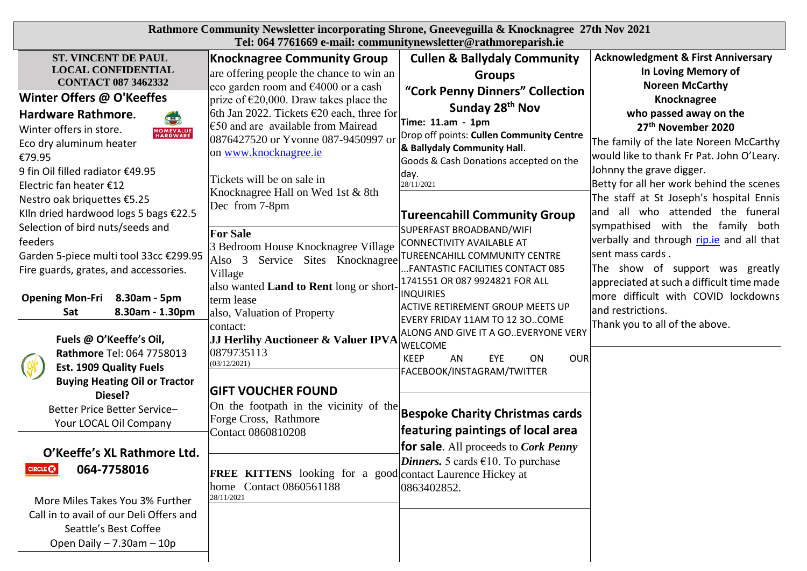| <b>ST. VINCENT DE PAUL</b>                                                                                                                                                                                                                                                                                                                                                                                                                                                                                                                                                                                          |                                                                                                                                                                                                                                                                                                                                                                                                                                                                                                                                                                                                                                                                                                                           |                                                                                                                                                                                                                                                                                                                                                                                                                                                                                                                                                                                                                                             |                                                                                                                                                                                                                                                                                                                                                                                                                                                                                                                                                                                                                                                                                               |
|---------------------------------------------------------------------------------------------------------------------------------------------------------------------------------------------------------------------------------------------------------------------------------------------------------------------------------------------------------------------------------------------------------------------------------------------------------------------------------------------------------------------------------------------------------------------------------------------------------------------|---------------------------------------------------------------------------------------------------------------------------------------------------------------------------------------------------------------------------------------------------------------------------------------------------------------------------------------------------------------------------------------------------------------------------------------------------------------------------------------------------------------------------------------------------------------------------------------------------------------------------------------------------------------------------------------------------------------------------|---------------------------------------------------------------------------------------------------------------------------------------------------------------------------------------------------------------------------------------------------------------------------------------------------------------------------------------------------------------------------------------------------------------------------------------------------------------------------------------------------------------------------------------------------------------------------------------------------------------------------------------------|-----------------------------------------------------------------------------------------------------------------------------------------------------------------------------------------------------------------------------------------------------------------------------------------------------------------------------------------------------------------------------------------------------------------------------------------------------------------------------------------------------------------------------------------------------------------------------------------------------------------------------------------------------------------------------------------------|
| <b>LOCAL CONFIDENTIAL</b><br><b>CONTACT 087 3462332</b><br>Winter Offers @ O'Keeffes<br>Hardware Rathmore.<br>$\left( \blacksquare \right)$<br>Winter offers in store.<br><b>HOMEVALUE</b><br>HARDWARE<br>Eco dry aluminum heater<br>€79.95<br>9 fin Oil filled radiator €49.95<br>Electric fan heater €12<br>Nestro oak briquettes €5.25<br>KIIn dried hardwood logs 5 bags €22.5<br>Selection of bird nuts/seeds and<br>feeders<br>Garden 5-piece multi tool 33cc €299.95<br>Fire guards, grates, and accessories.<br><b>Opening Mon-Fri</b><br>8.30am - 5pm<br>Sat<br>8.30am - 1.30pm<br>Fuels @ O'Keeffe's Oil, | Tel: 064 7761669 e-mail: communitynewsletter@rathmoreparish.ie<br><b>Knocknagree Community Group</b><br>are offering people the chance to win an<br>eco garden room and €4000 or a cash<br>prize of $\epsilon$ 20,000. Draw takes place the<br>6th Jan 2022. Tickets $\epsilon$ 20 each, three for<br>$\epsilon$ = 50 and are available from Mairead<br>0876427520 or Yvonne 087-9450997 or<br>on www.knocknagree.ie<br>Tickets will be on sale in<br>Knocknagree Hall on Wed 1st & 8th<br>Dec from 7-8pm<br><b>For Sale</b><br>3 Bedroom House Knocknagree Village<br>Service Sites Knocknagree<br>Also 3<br>Village<br>also wanted Land to Rent long or short-<br>term lease<br>also, Valuation of Property<br>contact: | <b>Cullen &amp; Ballydaly Community</b><br><b>Groups</b><br>"Cork Penny Dinners" Collection<br>Sunday 28 <sup>th</sup> Nov<br>Time: 11.am - 1pm<br>Drop off points: Cullen Community Centre<br>& Ballydaly Community Hall.<br>Goods & Cash Donations accepted on the<br>day.<br>28/11/2021<br><b>Tureencahill Community Group</b><br>SUPERFAST BROADBAND/WIFI<br>CONNECTIVITY AVAILABLE AT<br>TUREENCAHILL COMMUNITY CENTRE<br>FANTASTIC FACILITIES CONTACT 085<br>1741551 OR 087 9924821 FOR ALL<br><b>INQUIRIES</b><br><b>ACTIVE RETIREMENT GROUP MEETS UP</b><br>EVERY FRIDAY 11AM TO 12 30COME<br>ALONG AND GIVE IT A GO. EVERYONE VERY | <b>Acknowledgment &amp; First Anniversary</b><br>In Loving Memory of<br><b>Noreen McCarthy</b><br>Knocknagree<br>who passed away on the<br>27th November 2020<br>The family of the late Noreen McCarthy<br>would like to thank Fr Pat. John O'Leary.<br>Johnny the grave digger.<br>Betty for all her work behind the scenes<br>The staff at St Joseph's hospital Ennis<br>and all who attended the funeral<br>sympathised with the family both<br>verbally and through rip.ie and all that<br>sent mass cards.<br>The show of support was greatly<br>appreciated at such a difficult time made<br>more difficult with COVID lockdowns<br>and restrictions.<br>Thank you to all of the above. |
| Rathmore Tel: 064 7758013<br><b>Est. 1909 Quality Fuels</b><br><b>Buying Heating Oil or Tractor</b><br>Diesel?<br>Better Price Better Service-<br>Your LOCAL Oil Company<br>O'Keeffe's XL Rathmore Ltd.<br>064-7758016<br>More Miles Takes You 3% Further<br>Call in to avail of our Deli Offers and<br>Seattle's Best Coffee<br>Open Daily $- 7.30$ am $- 10p$                                                                                                                                                                                                                                                     | JJ Herlihy Auctioneer & Valuer IPVA<br>0879735113<br>(03/12/2021)<br><b>GIFT VOUCHER FOUND</b><br>On the footpath in the vicinity of the<br>Forge Cross, Rathmore<br>Contact 0860810208<br>FREE KITTENS looking for a good contact Laurence Hickey at<br>home Contact 0860561188<br>28/11/2021                                                                                                                                                                                                                                                                                                                                                                                                                            | <b>WELCOME</b><br><b>KEEP</b><br>AN<br>EYE<br><b>OUR</b><br><b>ON</b><br>FACEBOOK/INSTAGRAM/TWITTER<br><b>Bespoke Charity Christmas cards</b><br>featuring paintings of local area<br><b>for sale.</b> All proceeds to <i>Cork Penny</i><br><i>Dinners.</i> 5 cards $\epsilon$ 10. To purchase<br>0863402852.                                                                                                                                                                                                                                                                                                                               |                                                                                                                                                                                                                                                                                                                                                                                                                                                                                                                                                                                                                                                                                               |